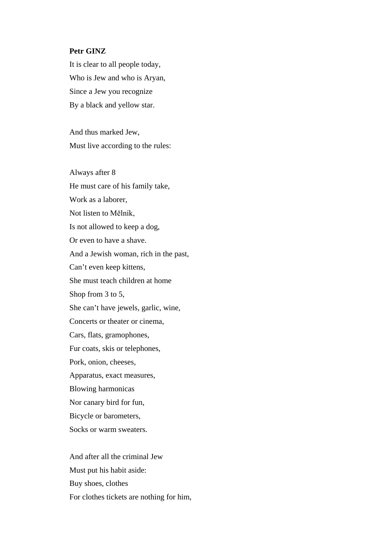## **Petr GINZ**

It is clear to all people today, Who is Jew and who is Aryan, Since a Jew you recognize By a black and yellow star.

And thus marked Jew, Must live according to the rules:

Always after 8 He must care of his family take, Work as a laborer, Not listen to Mělník, Is not allowed to keep a dog, Or even to have a shave. And a Jewish woman, rich in the past, Can't even keep kittens, She must teach children at home Shop from 3 to 5, She can't have jewels, garlic, wine, Concerts or theater or cinema, Cars, flats, gramophones, Fur coats, skis or telephones, Pork, onion, cheeses, Apparatus, exact measures, Blowing harmonicas Nor canary bird for fun, Bicycle or barometers, Socks or warm sweaters.

And after all the criminal Jew Must put his habit aside: Buy shoes, clothes For clothes tickets are nothing for him,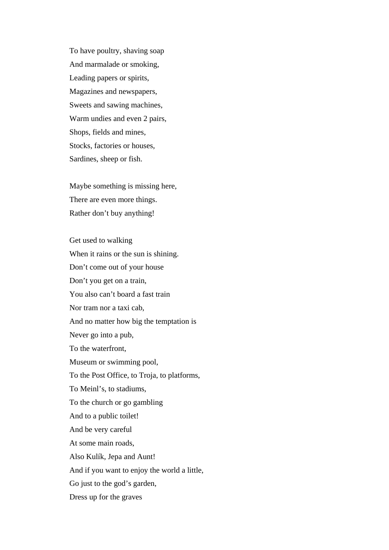To have poultry, shaving soap And marmalade or smoking, Leading papers or spirits, Magazines and newspapers, Sweets and sawing machines, Warm undies and even 2 pairs, Shops, fields and mines, Stocks, factories or houses, Sardines, sheep or fish.

Maybe something is missing here, There are even more things. Rather don't buy anything!

Get used to walking When it rains or the sun is shining. Don't come out of your house Don't you get on a train, You also can't board a fast train Nor tram nor a taxi cab, And no matter how big the temptation is Never go into a pub, To the waterfront, Museum or swimming pool, To the Post Office, to Troja, to platforms, To Meinl's, to stadiums, To the church or go gambling And to a public toilet! And be very careful At some main roads, Also Kulík, Jepa and Aunt! And if you want to enjoy the world a little, Go just to the god's garden, Dress up for the graves